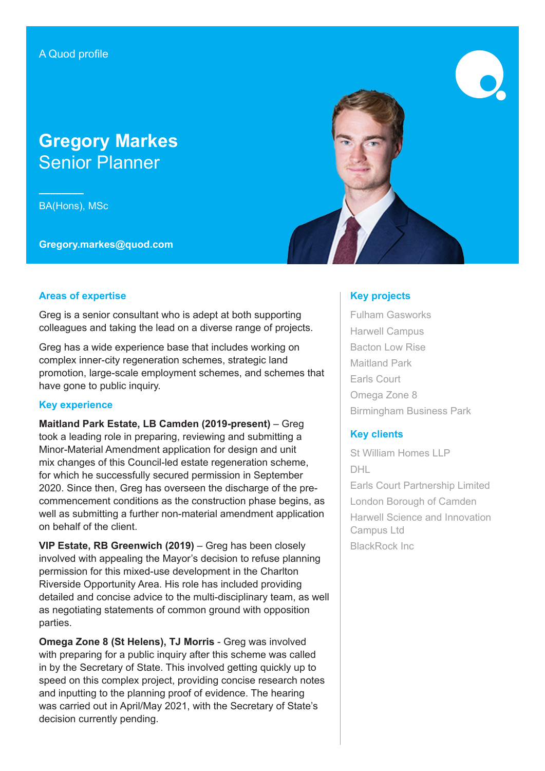# **Gregory Markes** Senior Planner

**––––––––** BA(Hons), MSc

**Gregory.markes@quod.com**



#### **Areas of expertise**

Greg is a senior consultant who is adept at both supporting colleagues and taking the lead on a diverse range of projects.

Greg has a wide experience base that includes working on complex inner-city regeneration schemes, strategic land promotion, large-scale employment schemes, and schemes that have gone to public inquiry.

#### **Key experience**

**Maitland Park Estate, LB Camden (2019-present)** – Greg took a leading role in preparing, reviewing and submitting a Minor-Material Amendment application for design and unit mix changes of this Council-led estate regeneration scheme, for which he successfully secured permission in September 2020. Since then, Greg has overseen the discharge of the precommencement conditions as the construction phase begins, as well as submitting a further non-material amendment application on behalf of the client.

**VIP Estate, RB Greenwich (2019)** – Greg has been closely involved with appealing the Mayor's decision to refuse planning permission for this mixed-use development in the Charlton Riverside Opportunity Area. His role has included providing detailed and concise advice to the multi-disciplinary team, as well as negotiating statements of common ground with opposition parties.

**Omega Zone 8 (St Helens), TJ Morris** - Greg was involved with preparing for a public inquiry after this scheme was called in by the Secretary of State. This involved getting quickly up to speed on this complex project, providing concise research notes and inputting to the planning proof of evidence. The hearing was carried out in April/May 2021, with the Secretary of State's decision currently pending.

### **Key projects**

Fulham Gasworks Harwell Campus Bacton Low Rise Maitland Park Earls Court Omega Zone 8 Birmingham Business Park

## **Key clients**

St William Homes LLP DHL Earls Court Partnership Limited London Borough of Camden Harwell Science and Innovation Campus Ltd BlackRock Inc